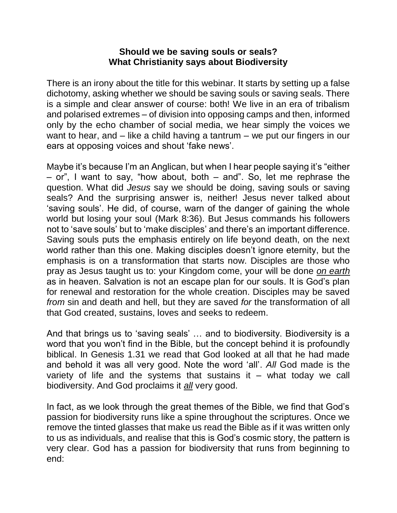#### **Should we be saving souls or seals? What Christianity says about Biodiversity**

There is an irony about the title for this webinar. It starts by setting up a false dichotomy, asking whether we should be saving souls or saving seals. There is a simple and clear answer of course: both! We live in an era of tribalism and polarised extremes – of division into opposing camps and then, informed only by the echo chamber of social media, we hear simply the voices we want to hear, and – like a child having a tantrum – we put our fingers in our ears at opposing voices and shout 'fake news'.

Maybe it's because I'm an Anglican, but when I hear people saying it's "either  $-$  or", I want to say, "how about, both  $-$  and". So, let me rephrase the question. What did *Jesus* say we should be doing, saving souls or saving seals? And the surprising answer is, neither! Jesus never talked about 'saving souls'. He did, of course, warn of the danger of gaining the whole world but losing your soul (Mark 8:36). But Jesus commands his followers not to 'save souls' but to 'make disciples' and there's an important difference. Saving souls puts the emphasis entirely on life beyond death, on the next world rather than this one. Making disciples doesn't ignore eternity, but the emphasis is on a transformation that starts now. Disciples are those who pray as Jesus taught us to: your Kingdom come, your will be done *on earth* as in heaven. Salvation is not an escape plan for our souls. It is God's plan for renewal and restoration for the whole creation. Disciples may be saved *from* sin and death and hell, but they are saved *for* the transformation of all that God created, sustains, loves and seeks to redeem.

And that brings us to 'saving seals' … and to biodiversity. Biodiversity is a word that you won't find in the Bible, but the concept behind it is profoundly biblical. In Genesis 1.31 we read that God looked at all that he had made and behold it was all very good. Note the word 'all'. *All* God made is the variety of life and the systems that sustains it  $-$  what today we call biodiversity. And God proclaims it *all* very good.

In fact, as we look through the great themes of the Bible, we find that God's passion for biodiversity runs like a spine throughout the scriptures. Once we remove the tinted glasses that make us read the Bible as if it was written only to us as individuals, and realise that this is God's cosmic story, the pattern is very clear. God has a passion for biodiversity that runs from beginning to end: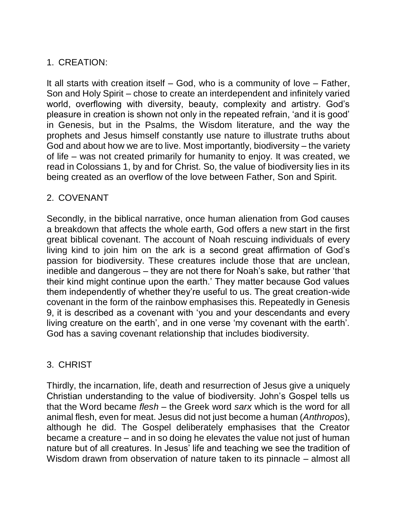# 1. CREATION:

It all starts with creation itself – God, who is a community of love – Father, Son and Holy Spirit – chose to create an interdependent and infinitely varied world, overflowing with diversity, beauty, complexity and artistry. God's pleasure in creation is shown not only in the repeated refrain, 'and it is good' in Genesis, but in the Psalms, the Wisdom literature, and the way the prophets and Jesus himself constantly use nature to illustrate truths about God and about how we are to live. Most importantly, biodiversity – the variety of life – was not created primarily for humanity to enjoy. It was created, we read in Colossians 1, by and for Christ. So, the value of biodiversity lies in its being created as an overflow of the love between Father, Son and Spirit.

### 2. COVENANT

Secondly, in the biblical narrative, once human alienation from God causes a breakdown that affects the whole earth, God offers a new start in the first great biblical covenant. The account of Noah rescuing individuals of every living kind to join him on the ark is a second great affirmation of God's passion for biodiversity. These creatures include those that are unclean, inedible and dangerous – they are not there for Noah's sake, but rather 'that their kind might continue upon the earth.' They matter because God values them independently of whether they're useful to us. The great creation-wide covenant in the form of the rainbow emphasises this. Repeatedly in Genesis 9, it is described as a covenant with 'you and your descendants and every living creature on the earth', and in one verse 'my covenant with the earth'. God has a saving covenant relationship that includes biodiversity.

# 3. CHRIST

Thirdly, the incarnation, life, death and resurrection of Jesus give a uniquely Christian understanding to the value of biodiversity. John's Gospel tells us that the Word became *flesh* – the Greek word *sarx* which is the word for all animal flesh, even for meat. Jesus did not just become a human (*Anthropos*), although he did. The Gospel deliberately emphasises that the Creator became a creature – and in so doing he elevates the value not just of human nature but of all creatures. In Jesus' life and teaching we see the tradition of Wisdom drawn from observation of nature taken to its pinnacle – almost all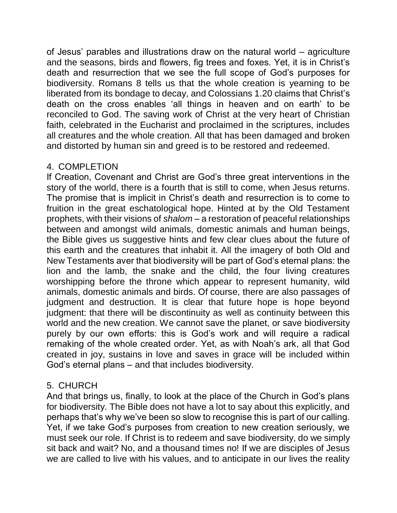of Jesus' parables and illustrations draw on the natural world – agriculture and the seasons, birds and flowers, fig trees and foxes. Yet, it is in Christ's death and resurrection that we see the full scope of God's purposes for biodiversity. Romans 8 tells us that the whole creation is yearning to be liberated from its bondage to decay, and Colossians 1.20 claims that Christ's death on the cross enables 'all things in heaven and on earth' to be reconciled to God. The saving work of Christ at the very heart of Christian faith, celebrated in the Eucharist and proclaimed in the scriptures, includes all creatures and the whole creation. All that has been damaged and broken and distorted by human sin and greed is to be restored and redeemed.

### 4. COMPLETION

If Creation, Covenant and Christ are God's three great interventions in the story of the world, there is a fourth that is still to come, when Jesus returns. The promise that is implicit in Christ's death and resurrection is to come to fruition in the great eschatological hope. Hinted at by the Old Testament prophets, with their visions of *shalom* – a restoration of peaceful relationships between and amongst wild animals, domestic animals and human beings, the Bible gives us suggestive hints and few clear clues about the future of this earth and the creatures that inhabit it. All the imagery of both Old and New Testaments aver that biodiversity will be part of God's eternal plans: the lion and the lamb, the snake and the child, the four living creatures worshipping before the throne which appear to represent humanity, wild animals, domestic animals and birds. Of course, there are also passages of judgment and destruction. It is clear that future hope is hope beyond judgment: that there will be discontinuity as well as continuity between this world and the new creation. We cannot save the planet, or save biodiversity purely by our own efforts: this is God's work and will require a radical remaking of the whole created order. Yet, as with Noah's ark, all that God created in joy, sustains in love and saves in grace will be included within God's eternal plans – and that includes biodiversity.

# 5. CHURCH

And that brings us, finally, to look at the place of the Church in God's plans for biodiversity. The Bible does not have a lot to say about this explicitly, and perhaps that's why we've been so slow to recognise this is part of our calling. Yet, if we take God's purposes from creation to new creation seriously, we must seek our role. If Christ is to redeem and save biodiversity, do we simply sit back and wait? No, and a thousand times no! If we are disciples of Jesus we are called to live with his values, and to anticipate in our lives the reality